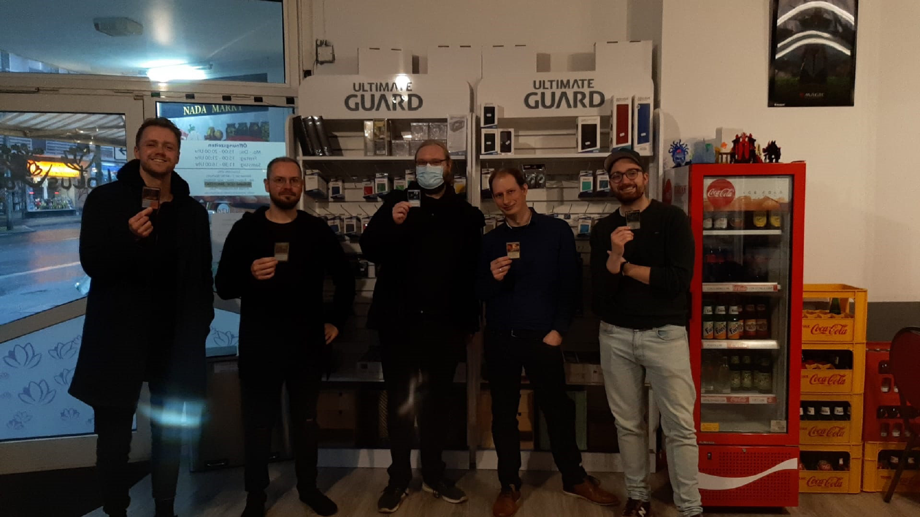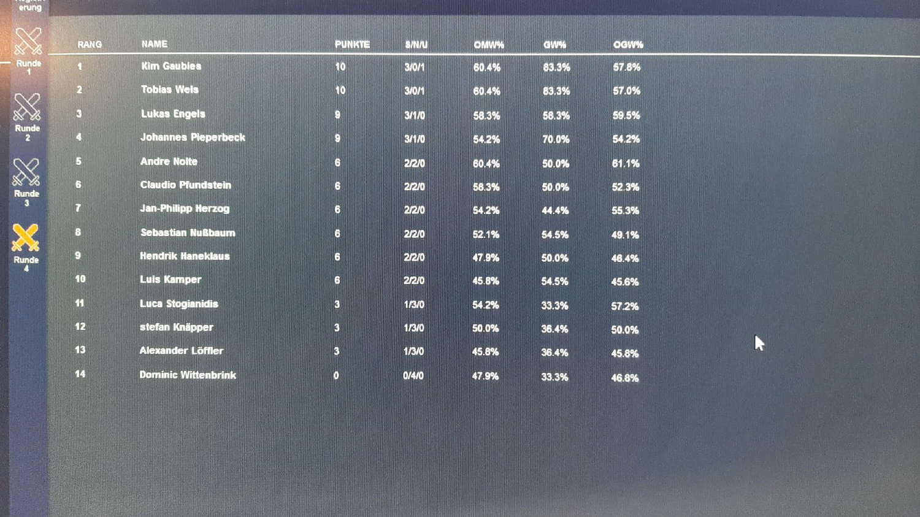erung

|                                            | <b>RANG</b>    | <b>NAME</b>                | <b>PUNKTE</b>   | <b>S/N/U</b> | OMW%  | <b>GW%</b> | OGW%  |   |  |
|--------------------------------------------|----------------|----------------------------|-----------------|--------------|-------|------------|-------|---|--|
| Runde<br>$\boxtimes$<br>Runde<br>2         |                | <b>Kim Gaubies</b>         | 10 <sup>1</sup> | 3/0/1        | 60.4% | 83.3%      | 57.8% |   |  |
|                                            | $\mathbf{2}$   | <b>Tobias Wels</b>         | iO.             | 3/0/1        | 60.4% | 83.3%      | 57.0% |   |  |
|                                            | 3              | <b>Lukas Engels</b>        | O               | 3/1/0        | 58.3% | 58.3%      | 59.5% |   |  |
|                                            |                | <b>Johannes Pieperbeck</b> | Ð               | 3/1/0        | 54.2% | 70.0%      | 54.2% |   |  |
| $\otimes$<br>Runde<br>3<br>X<br>tunde<br>4 | 51             | <b>Andre Nolte</b>         | O               | 2/2/0        | 60.4% | 50.0%      | 61.1% |   |  |
|                                            | 6 <sub>1</sub> | <b>Claudio Pfundstein</b>  | GI              | 2/2/0        | 58.3% | 50.0%      | 52.3% |   |  |
|                                            | 71             | <b>Jan-Philipp Herzog</b>  | G               | 2/2/0        | 54.2% | 44.4%      | 55.3% |   |  |
|                                            | $\bf{3}$       | <b>Sebastian Nußbaum</b>   | G               | 2/2/0        | 52.1% | 54.5%      | 49.1% |   |  |
|                                            | Ð              | <b>Hendrik Haneklaus</b>   | GI              | 2/2/0        | 47.9% | 50.0%      | 46.4% |   |  |
|                                            | 10             | <b>Luis Kamper</b>         | O               | 2/2/0        | 45.8% | 54.5%      | 45.6% |   |  |
|                                            | $\mathbf{u}$   | <b>Luca Stogianidis</b>    | 3 <sub>1</sub>  | 1/3/0        | 54.2% | 33.3%      | 57.2% |   |  |
|                                            | $\mathbb{E}$   | stefan Knäpper             | 81              | 1/3/0        | 50.0% | 36.4%      | 50.0% |   |  |
|                                            | 13             | Alexander Löffler          | $\vert 3 \vert$ | 1/3/0        | 45.8% | 36.4%      | 45.8% | N |  |
|                                            | $\Omega$       | <b>Dominic Wittenbrink</b> | о               | 0/4/0        | 47.9% | 33.3%      | 46.8% |   |  |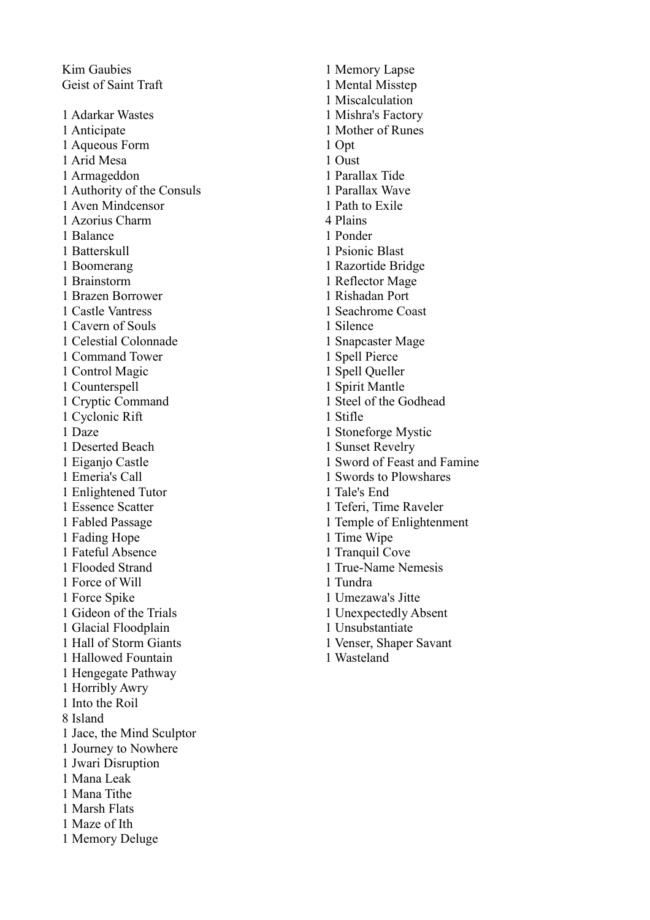Kim Gaubies Geist of Saint Traft 1 Adarkar Wastes 1 Anticipate 1 Aqueous Form 1 Arid Mesa 1 Armageddon 1 Authority of the Consuls 1 Aven Mindcensor 1 Azorius Charm 1 Balance 1 Batterskull 1 Boomerang 1 Brainstorm 1 Brazen Borrower 1 Castle Vantress 1 Cavern of Souls 1 Celestial Colonnade 1 Command Tower 1 Control Magic 1 Counterspell 1 Cryptic Command 1 Cyclonic Rift 1 Daze 1 Deserted Beach 1 Eiganjo Castle 1 Emeria's Call 1 Enlightened Tutor 1 Essence Scatter 1 Fabled Passage 1 Fading Hope 1 Fateful Absence 1 Flooded Strand 1 Force of Will 1 Force Spike 1 Gideon of the Trials 1 Glacial Floodplain 1 Hall of Storm Giants 1 Hallowed Fountain 1 Hengegate Pathway 1 Horribly Awry 1 Into the Roil 8 Island 1 Jace, the Mind Sculptor 1 Journey to Nowhere 1 Jwari Disruption 1 Mana Leak 1 Mana Tithe 1 Marsh Flats 1 Maze of Ith 1 Memory Deluge

1 Memory Lapse 1 Mental Misstep 1 Miscalculation 1 Mishra's Factory 1 Mother of Runes 1 Opt 1 Oust 1 Parallax Tide 1 Parallax Wave 1 Path to Exile 4 Plains 1 Ponder 1 Psionic Blast 1 Razortide Bridge 1 Reflector Mage 1 Rishadan Port 1 Seachrome Coast 1 Silence 1 Snapcaster Mage 1 Spell Pierce 1 Spell Queller 1 Spirit Mantle 1 Steel of the Godhead 1 Stifle 1 Stoneforge Mystic 1 Sunset Revelry 1 Sword of Feast and Famine 1 Swords to Plowshares 1 Tale's End 1 Teferi, Time Raveler 1 Temple of Enlightenment 1 Time Wipe 1 Tranquil Cove 1 True-Name Nemesis 1 Tundra 1 Umezawa's Jitte 1 Unexpectedly Absent 1 Unsubstantiate 1 Venser, Shaper Savant 1 Wasteland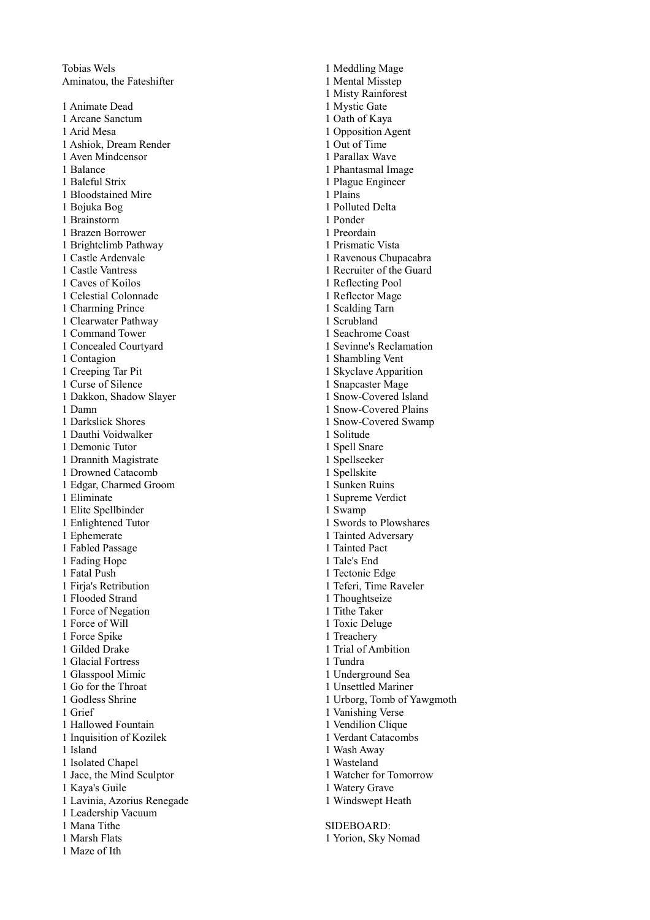Tobias Wels Aminatou, the Fateshifter 1 Animate Dead 1 Arcane Sanctum 1 Arid Mesa 1 Ashiok, Dream Render 1 Aven Mindcensor 1 Balance 1 Baleful Strix 1 Bloodstained Mire 1 Bojuka Bog 1 Brainstorm 1 Brazen Borrower 1 Brightclimb Pathway 1 Castle Ardenvale 1 Castle Vantress 1 Caves of Koilos 1 Celestial Colonnade 1 Charming Prince 1 Clearwater Pathway 1 Command Tower 1 Concealed Courtyard 1 Contagion 1 Creeping Tar Pit 1 Curse of Silence 1 Dakkon, Shadow Slayer 1 Damn 1 Darkslick Shores 1 Dauthi Voidwalker 1 Demonic Tutor 1 Drannith Magistrate 1 Drowned Catacomb 1 Edgar, Charmed Groom 1 Eliminate 1 Elite Spellbinder 1 Enlightened Tutor 1 Ephemerate 1 Fabled Passage 1 Fading Hope 1 Fatal Push 1 Firja's Retribution 1 Flooded Strand 1 Force of Negation 1 Force of Will 1 Force Spike 1 Gilded Drake 1 Glacial Fortress 1 Glasspool Mimic 1 Go for the Throat 1 Godless Shrine 1 Grief 1 Hallowed Fountain 1 Inquisition of Kozilek 1 Island 1 Isolated Chapel 1 Jace, the Mind Sculptor 1 Kaya's Guile 1 Lavinia, Azorius Renegade 1 Leadership Vacuum 1 Mana Tithe 1 Marsh Flats 1 Maze of Ith

1 Meddling Mage 1 Mental Misstep 1 Misty Rainforest 1 Mystic Gate 1 Oath of Kaya 1 Opposition Agent 1 Out of Time 1 Parallax Wave 1 Phantasmal Image 1 Plague Engineer 1 Plains 1 Polluted Delta 1 Ponder 1 Preordain 1 Prismatic Vista 1 Ravenous Chupacabra 1 Recruiter of the Guard 1 Reflecting Pool 1 Reflector Mage 1 Scalding Tarn 1 Scrubland 1 Seachrome Coast 1 Sevinne's Reclamation 1 Shambling Vent 1 Skyclave Apparition 1 Snapcaster Mage 1 Snow-Covered Island 1 Snow-Covered Plains 1 Snow-Covered Swamp 1 Solitude 1 Spell Snare 1 Spellseeker 1 Spellskite 1 Sunken Ruins 1 Supreme Verdict 1 Swamp 1 Swords to Plowshares 1 Tainted Adversary 1 Tainted Pact 1 Tale's End 1 Tectonic Edge 1 Teferi, Time Raveler 1 Thoughtseize 1 Tithe Taker 1 Toxic Deluge 1 Treachery 1 Trial of Ambition 1 Tundra 1 Underground Sea 1 Unsettled Mariner 1 Urborg, Tomb of Yawgmoth 1 Vanishing Verse 1 Vendilion Clique 1 Verdant Catacombs 1 Wash Away 1 Wasteland 1 Watcher for Tomorrow 1 Watery Grave 1 Windswept Heath

SIDEBOARD: 1 Yorion, Sky Nomad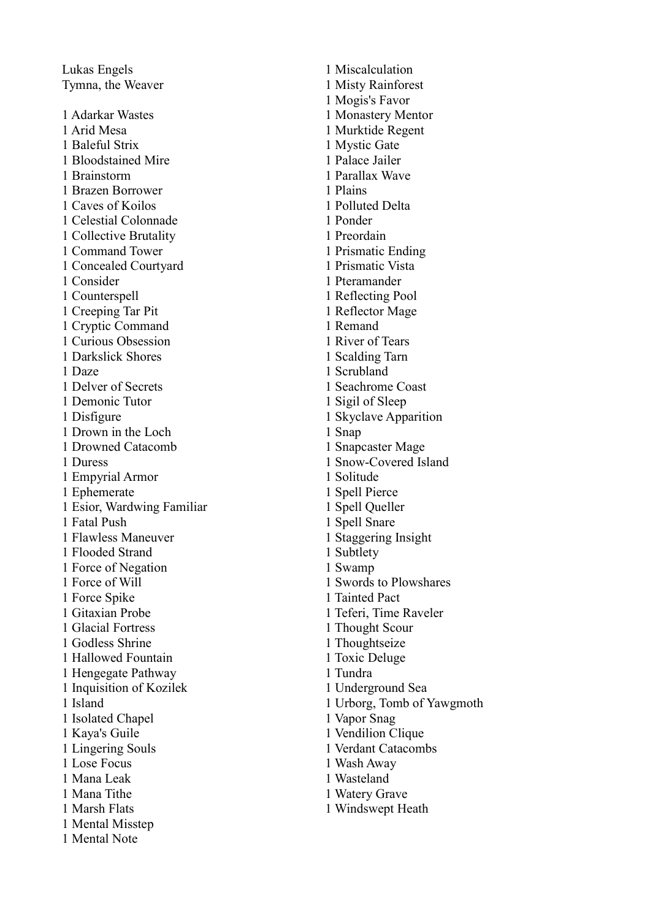Lukas Engels Tymna, the Weaver 1 Adarkar Wastes 1 Arid Mesa 1 Baleful Strix 1 Bloodstained Mire 1 Brainstorm 1 Brazen Borrower 1 Caves of Koilos 1 Celestial Colonnade 1 Collective Brutality 1 Command Tower 1 Concealed Courtyard 1 Consider 1 Counterspell 1 Creeping Tar Pit 1 Cryptic Command 1 Curious Obsession 1 Darkslick Shores 1 Daze 1 Delver of Secrets 1 Demonic Tutor 1 Disfigure 1 Drown in the Loch 1 Drowned Catacomb 1 Duress 1 Empyrial Armor 1 Ephemerate 1 Esior, Wardwing Familiar 1 Fatal Push 1 Flawless Maneuver 1 Flooded Strand 1 Force of Negation 1 Force of Will 1 Force Spike 1 Gitaxian Probe 1 Glacial Fortress 1 Godless Shrine 1 Hallowed Fountain 1 Hengegate Pathway 1 Inquisition of Kozilek 1 Island 1 Isolated Chapel 1 Kaya's Guile 1 Lingering Souls 1 Lose Focus 1 Mana Leak 1 Mana Tithe 1 Marsh Flats 1 Mental Misstep 1 Mental Note

1 Miscalculation 1 Misty Rainforest 1 Mogis's Favor 1 Monastery Mentor 1 Murktide Regent 1 Mystic Gate 1 Palace Jailer 1 Parallax Wave 1 Plains 1 Polluted Delta 1 Ponder 1 Preordain 1 Prismatic Ending 1 Prismatic Vista 1 Pteramander 1 Reflecting Pool 1 Reflector Mage 1 Remand 1 River of Tears 1 Scalding Tarn 1 Scrubland 1 Seachrome Coast 1 Sigil of Sleep 1 Skyclave Apparition 1 Snap 1 Snapcaster Mage 1 Snow-Covered Island 1 Solitude 1 Spell Pierce 1 Spell Queller 1 Spell Snare 1 Staggering Insight 1 Subtlety 1 Swamp 1 Swords to Plowshares 1 Tainted Pact 1 Teferi, Time Raveler 1 Thought Scour 1 Thoughtseize 1 Toxic Deluge 1 Tundra 1 Underground Sea 1 Urborg, Tomb of Yawgmoth 1 Vapor Snag 1 Vendilion Clique 1 Verdant Catacombs 1 Wash Away 1 Wasteland 1 Watery Grave 1 Windswept Heath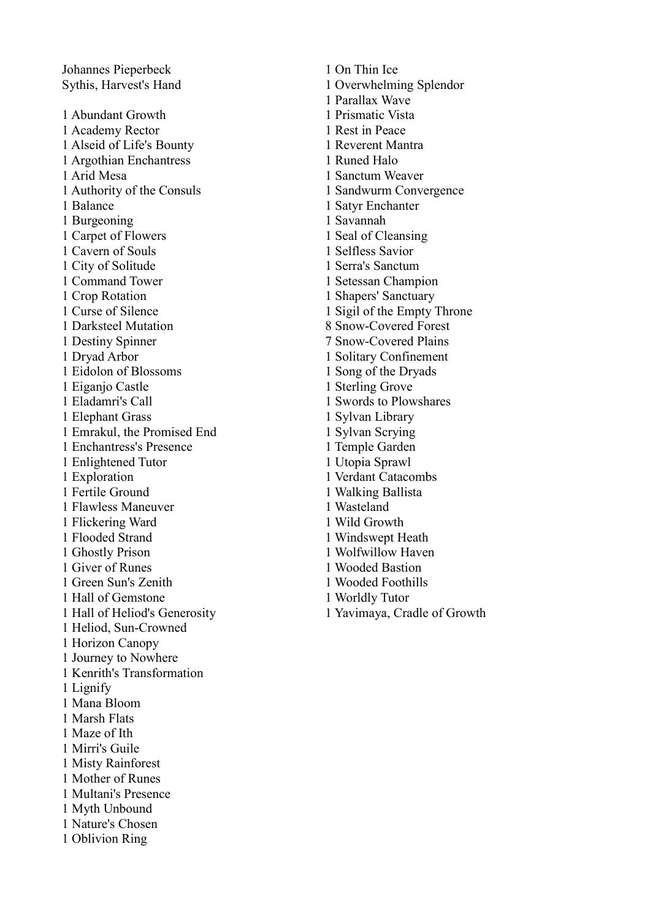Johannes Pieperbeck Sythis, Harvest's Hand 1 Abundant Growth 1 Academy Rector 1 Alseid of Life's Bounty 1 Argothian Enchantress 1 Arid Mesa 1 Authority of the Consuls 1 Balance 1 Burgeoning 1 Carpet of Flowers 1 Cavern of Souls 1 City of Solitude 1 Command Tower 1 Crop Rotation 1 Curse of Silence 1 Darksteel Mutation 1 Destiny Spinner 1 Dryad Arbor 1 Eidolon of Blossoms 1 Eiganjo Castle 1 Eladamri's Call 1 Elephant Grass 1 Emrakul, the Promised End 1 Enchantress's Presence 1 Enlightened Tutor 1 Exploration 1 Fertile Ground 1 Flawless Maneuver 1 Flickering Ward 1 Flooded Strand 1 Ghostly Prison 1 Giver of Runes 1 Green Sun's Zenith 1 Hall of Gemstone 1 Hall of Heliod's Generosity 1 Heliod, Sun-Crowned 1 Horizon Canopy 1 Journey to Nowhere 1 Kenrith's Transformation 1 Lignify 1 Mana Bloom 1 Marsh Flats 1 Maze of Ith 1 Mirri's Guile 1 Misty Rainforest 1 Mother of Runes 1 Multani's Presence 1 Myth Unbound 1 Nature's Chosen 1 Oblivion Ring

1 On Thin Ice 1 Overwhelming Splendor 1 Parallax Wave 1 Prismatic Vista 1 Rest in Peace 1 Reverent Mantra 1 Runed Halo 1 Sanctum Weaver 1 Sandwurm Convergence 1 Satyr Enchanter 1 Savannah 1 Seal of Cleansing 1 Selfless Savior 1 Serra's Sanctum 1 Setessan Champion 1 Shapers' Sanctuary 1 Sigil of the Empty Throne 8 Snow-Covered Forest 7 Snow-Covered Plains 1 Solitary Confinement 1 Song of the Dryads 1 Sterling Grove 1 Swords to Plowshares 1 Sylvan Library 1 Sylvan Scrying 1 Temple Garden 1 Utopia Sprawl 1 Verdant Catacombs 1 Walking Ballista 1 Wasteland 1 Wild Growth 1 Windswept Heath 1 Wolfwillow Haven 1 Wooded Bastion 1 Wooded Foothills 1 Worldly Tutor

1 Yavimaya, Cradle of Growth